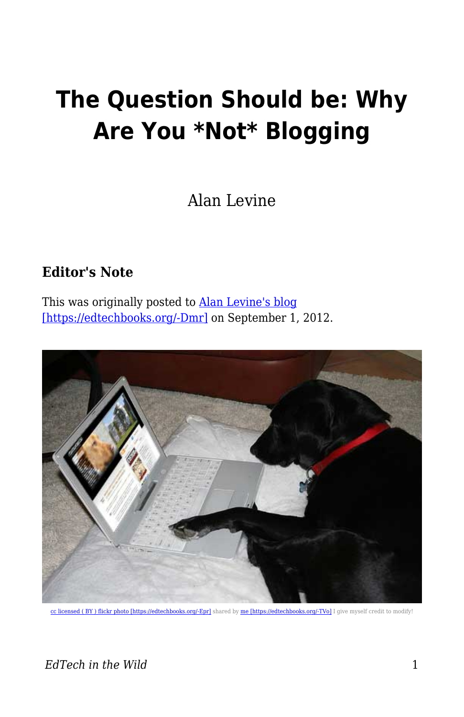## **The Question Should be: Why Are You \*Not\* Blogging**

Alan Levine

## **Editor's Note**

This was originally posted to **Alan Levine's blog** [\[https://edtechbooks.org/-Dmr\]](https://cogdogblog.com/2012/09/the-question/) on September 1, 2012.



cc licensed (BY) flickr photo [https://edtechbooks.org/-Epr] shared by [me \[https://edtechbooks.org/-TVo\]](http://flickr.com/people/cogdog/) I give myself credit to modify!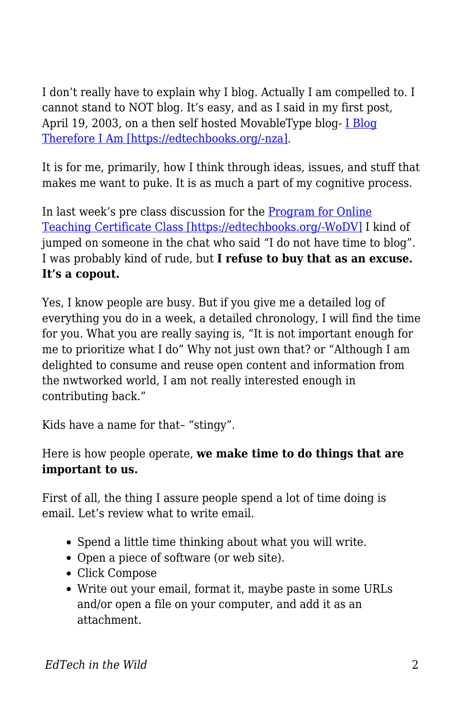I don't really have to explain why I blog. Actually I am compelled to. I cannot stand to NOT blog. It's easy, and as I said in my first post, April 19, 2003, on a then self hosted MovableType blog- [I Blog](https://cogdogblog.com/2003/04/19/i-blog/) [Therefore I Am \[https://edtechbooks.org/-nza\].](https://cogdogblog.com/2003/04/19/i-blog/)

It is for me, primarily, how I think through ideas, issues, and stuff that makes me want to puke. It is as much a part of my cognitive process.

In last week's pre class discussion for the [Program for Online](https://edtechbooks.org/pedagogyfirst.org/wppf12) [Teaching Certificate Class \[https://edtechbooks.org/-WoDV\]](https://edtechbooks.org/pedagogyfirst.org/wppf12) I kind of jumped on someone in the chat who said "I do not have time to blog". I was probably kind of rude, but **I refuse to buy that as an excuse. It's a copout.**

Yes, I know people are busy. But if you give me a detailed log of everything you do in a week, a detailed chronology, I will find the time for you. What you are really saying is, "It is not important enough for me to prioritize what I do" Why not just own that? or "Although I am delighted to consume and reuse open content and information from the nwtworked world, I am not really interested enough in contributing back."

Kids have a name for that– "stingy".

Here is how people operate, **we make time to do things that are important to us.**

First of all, the thing I assure people spend a lot of time doing is email. Let's review what to write email.

- Spend a little time thinking about what you will write.
- Open a piece of software (or web site).
- Click Compose
- Write out your email, format it, maybe paste in some URLs and/or open a file on your computer, and add it as an attachment.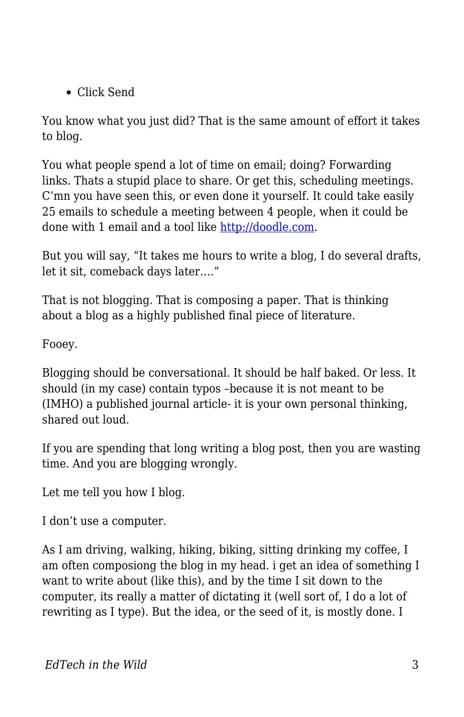Click Send

You know what you just did? That is the same amount of effort it takes to blog.

You what people spend a lot of time on email; doing? Forwarding links. Thats a stupid place to share. Or get this, scheduling meetings. C'mn you have seen this, or even done it yourself. It could take easily 25 emails to schedule a meeting between 4 people, when it could be done with 1 email and a tool like<http://doodle.com>.

But you will say, "It takes me hours to write a blog, I do several drafts, let it sit, comeback days later…."

That is not blogging. That is composing a paper. That is thinking about a blog as a highly published final piece of literature.

Fooey.

Blogging should be conversational. It should be half baked. Or less. It should (in my case) contain typos –because it is not meant to be (IMHO) a published journal article- it is your own personal thinking, shared out loud.

If you are spending that long writing a blog post, then you are wasting time. And you are blogging wrongly.

Let me tell you how I blog.

I don't use a computer.

As I am driving, walking, hiking, biking, sitting drinking my coffee, I am often composiong the blog in my head. i get an idea of something I want to write about (like this), and by the time I sit down to the computer, its really a matter of dictating it (well sort of, I do a lot of rewriting as I type). But the idea, or the seed of it, is mostly done. I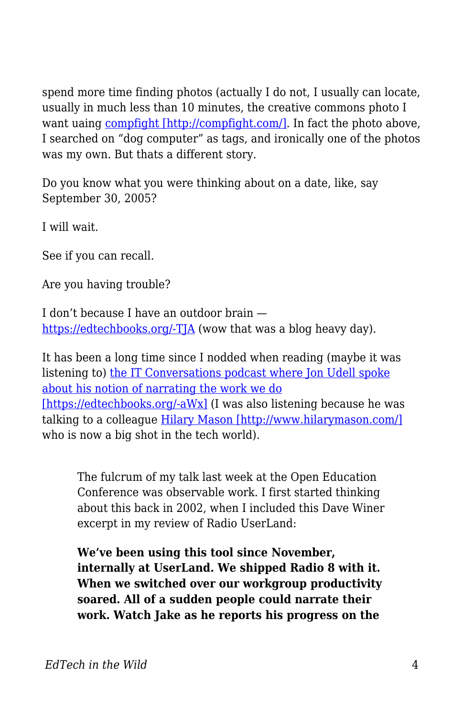spend more time finding photos (actually I do not, I usually can locate, usually in much less than 10 minutes, the creative commons photo I want uaing [compfight \[http://compfight.com/\].](http://compfight.com/) In fact the photo above, I searched on "dog computer" as tags, and ironically one of the photos was my own. But thats a different story.

Do you know what you were thinking about on a date, like, say September 30, 2005?

I will wait.

See if you can recall.

Are you having trouble?

I don't because I have an outdoor brain [https://edtechbooks.org/-TJA](https://cogdogblog.com/2005/09/30/) (wow that was a blog heavy day).

It has been a long time since I nodded when reading (maybe it was listening to) [the IT Conversations podcast where Jon Udell spoke](http://blog.jonudell.net/2009/04/28/data-driven-career-discovery/) [about his notion of narrating the work we do](http://blog.jonudell.net/2009/04/28/data-driven-career-discovery/) [\[https://edtechbooks.org/-aWx\]](http://blog.jonudell.net/2009/04/28/data-driven-career-discovery/) (I was also listening because he was talking to a colleague [Hilary Mason \[http://www.hilarymason.com/\]](http://www.hilarymason.com/) who is now a big shot in the tech world).

The fulcrum of my talk last week at the Open Education Conference was observable work. I first started thinking about this back in 2002, when I included this Dave Winer excerpt in my review of Radio UserLand:

**We've been using this tool since November, internally at UserLand. We shipped Radio 8 with it. When we switched over our workgroup productivity soared. All of a sudden people could narrate their work. Watch Jake as he reports his progress on the**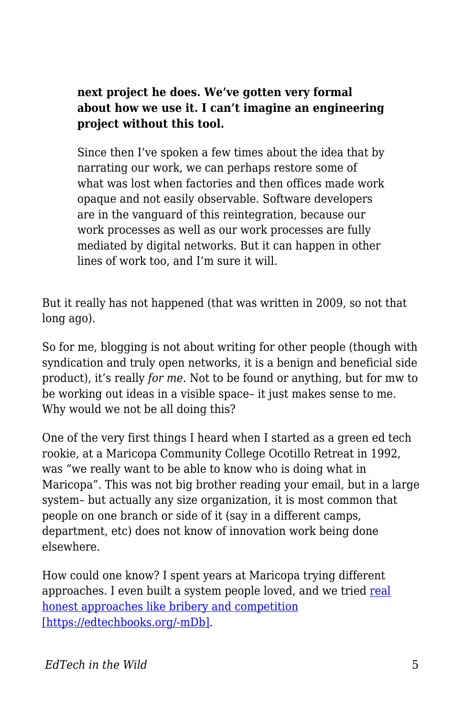**next project he does. We've gotten very formal about how we use it. I can't imagine an engineering project without this tool.**

Since then I've spoken a few times about the idea that by narrating our work, we can perhaps restore some of what was lost when factories and then offices made work opaque and not easily observable. Software developers are in the vanguard of this reintegration, because our work processes as well as our work processes are fully mediated by digital networks. But it can happen in other lines of work too, and I'm sure it will.

But it really has not happened (that was written in 2009, so not that long ago).

So for me, blogging is not about writing for other people (though with syndication and truly open networks, it is a benign and beneficial side product), it's really *for me*. Not to be found or anything, but for mw to be working out ideas in a visible space– it just makes sense to me. Why would we not be all doing this?

One of the very first things I heard when I started as a green ed tech rookie, at a Maricopa Community College Ocotillo Retreat in 1992, was "we really want to be able to know who is doing what in Maricopa". This was not big brother reading your email, but in a large system– but actually any size organization, it is most common that people on one branch or side of it (say in a different camps, department, etc) does not know of innovation work being done elsewhere.

How could one know? I spent years at Maricopa trying different approaches. I even built a system people loved, and we tried [real](http://www.mcli.dist.maricopa.edu/show/league2003/mlx.html) [honest approaches like bribery and competition](http://www.mcli.dist.maricopa.edu/show/league2003/mlx.html) [\[https://edtechbooks.org/-mDb\].](http://www.mcli.dist.maricopa.edu/show/league2003/mlx.html)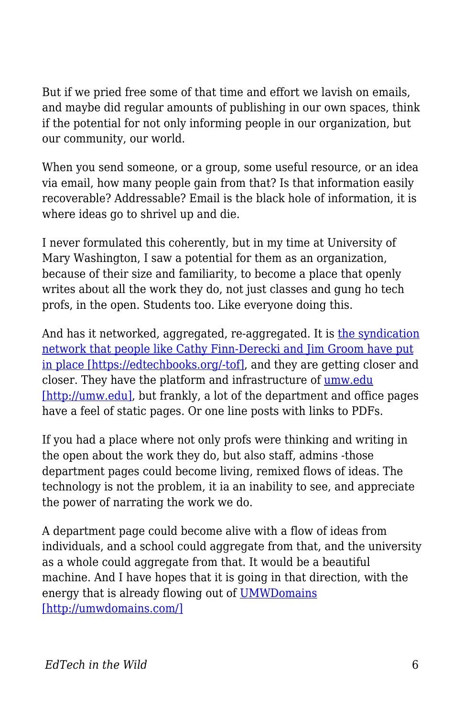But if we pried free some of that time and effort we lavish on emails, and maybe did regular amounts of publishing in our own spaces, think if the potential for not only informing people in our organization, but our community, our world.

When you send someone, or a group, some useful resource, or an idea via email, how many people gain from that? Is that information easily recoverable? Addressable? Email is the black hole of information, it is where ideas go to shrivel up and die.

I never formulated this coherently, but in my time at University of Mary Washington, I saw a potential for them as an organization, because of their size and familiarity, to become a place that openly writes about all the work they do, not just classes and gung ho tech profs, in the open. Students too. Like everyone doing this.

And has it networked, aggregated, re-aggregated. It is [the syndication](http://bavatuesdays.com/the-state-of-aggregation-at-umw/) [network that people like Cathy Finn-Derecki and Jim Groom have put](http://bavatuesdays.com/the-state-of-aggregation-at-umw/) [in place \[https://edtechbooks.org/-tof\],](http://bavatuesdays.com/the-state-of-aggregation-at-umw/) and they are getting closer and closer. They have the platform and infrastructure of [umw.edu](http://umw.edu) [\[http://umw.edu\],](http://umw.edu) but frankly, a lot of the department and office pages have a feel of static pages. Or one line posts with links to PDFs.

If you had a place where not only profs were thinking and writing in the open about the work they do, but also staff, admins -those department pages could become living, remixed flows of ideas. The technology is not the problem, it ia an inability to see, and appreciate the power of narrating the work we do.

A department page could become alive with a flow of ideas from individuals, and a school could aggregate from that, and the university as a whole could aggregate from that. It would be a beautiful machine. And I have hopes that it is going in that direction, with the energy that is already flowing out of [UMWDomains](http://umwdomains.com/) [\[http://umwdomains.com/\]](http://umwdomains.com/)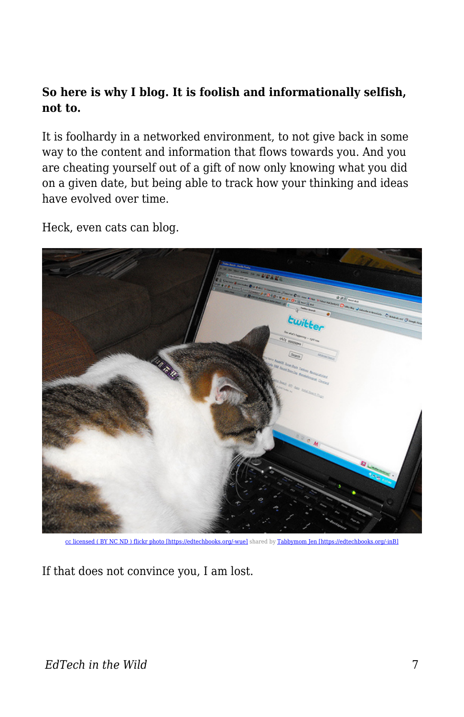## **So here is why I blog. It is foolish and informationally selfish, not to.**

It is foolhardy in a networked environment, to not give back in some way to the content and information that flows towards you. And you are cheating yourself out of a gift of now only knowing what you did on a given date, but being able to track how your thinking and ideas have evolved over time.

Heck, even cats can blog.



[cc licensed \( BY NC ND \) flickr photo \[https://edtechbooks.org/-wue\]](http://flickr.com/photos/lambj/3457510870/) shared by [Tabbymom Jen \[https://edtechbooks.org/-inB\]](http://flickr.com/people/lambj/)

If that does not convince you, I am lost.